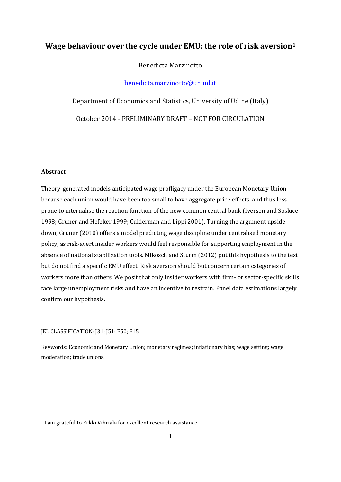## **Wage behaviour over the cycle under EMU: the role of risk aversion1**

Benedicta Marzinotto

[benedicta.marzinotto@uniud.it](mailto:benedicta.marzinotto@uniud.it)

Department of Economics and Statistics, University of Udine (Italy) October 2014 - PRELIMINARY DRAFT – NOT FOR CIRCULATION

#### **Abstract**

1

Theory-generated models anticipated wage profligacy under the European Monetary Union because each union would have been too small to have aggregate price effects, and thus less prone to internalise the reaction function of the new common central bank (Iversen and Soskice 1998; Grüner and Hefeker 1999; Cukierman and Lippi 2001). Turning the argument upside down, Grüner (2010) offers a model predicting wage discipline under centralised monetary policy, as risk-avert insider workers would feel responsible for supporting employment in the absence of national stabilization tools. Mikosch and Sturm (2012) put this hypothesis to the test but do not find a specific EMU effect. Risk aversion should but concern certain categories of workers more than others. We posit that only insider workers with firm- or sector-specific skills face large unemployment risks and have an incentive to restrain. Panel data estimations largely confirm our hypothesis.

#### JEL CLASSIFICATION: J31; J51: E50; F15

Keywords: Economic and Monetary Union; monetary regimes; inflationary bias; wage setting; wage moderation; trade unions.

<sup>&</sup>lt;sup>1</sup> I am grateful to Erkki Vihriälä for excellent research assistance.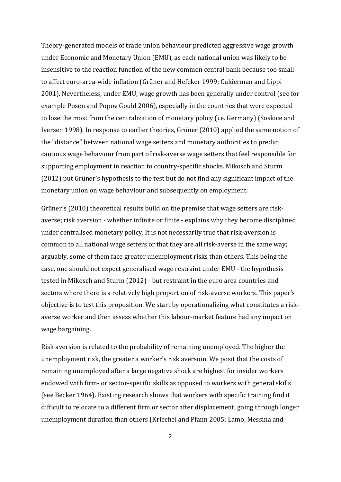Theory-generated models of trade union behaviour predicted aggressive wage growth under Economic and Monetary Union (EMU), as each national union was likely to be insensitive to the reaction function of the new common central bank because too small to affect euro-area-wide inflation (Grüner and Hefeker 1999; Cukierman and Lippi 2001). Nevertheless, under EMU, wage growth has been generally under control (see for example Posen and Popov Gould 2006), especially in the countries that were expected to lose the most from the centralization of monetary policy (i.e. Germany) (Soskice and Iversen 1998). In response to earlier theories, Grüner (2010) applied the same notion of the "distance" between national wage setters and monetary authorities to predict cautious wage behaviour from part of risk-averse wage setters that feel responsible for supporting employment in reaction to country-specific shocks. Mikosch and Sturm (2012) put Grüner's hypothesis to the test but do not find any significant impact of the monetary union on wage behaviour and subsequently on employment.

Grüner's (2010) theoretical results build on the premise that wage setters are riskaverse; risk aversion - whether infinite or finite - explains why they become disciplined under centralised monetary policy. It is not necessarily true that risk-aversion is common to all national wage setters or that they are all risk-averse in the same way; arguably, some of them face greater unemployment risks than others. This being the case, one should not expect generalised wage restraint under EMU - the hypothesis tested in Mikosch and Sturm (2012) - but restraint in the euro area countries and sectors where there is a relatively high proportion of risk-averse workers. This paper's objective is to test this proposition. We start by operationalizing what constitutes a riskaverse worker and then assess whether this labour-market feature had any impact on wage bargaining.

Risk aversion is related to the probability of remaining unemployed. The higher the unemployment risk, the greater a worker's risk aversion. We posit that the costs of remaining unemployed after a large negative shock are highest for insider workers endowed with firm- or sector-specific skills as opposed to workers with general skills (see Becker 1964). Existing research shows that workers with specific training find it difficult to relocate to a different firm or sector after displacement, going through longer unemployment duration than others (Kriechel and Pfann 2005; Lamo, Messina and

2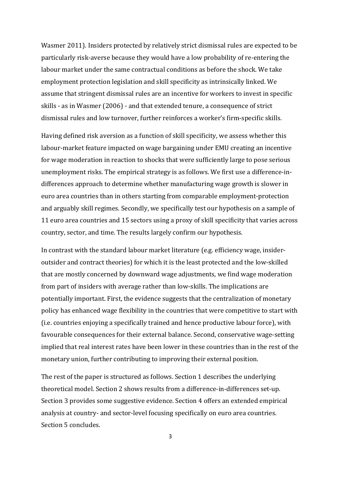Wasmer 2011). Insiders protected by relatively strict dismissal rules are expected to be particularly risk-averse because they would have a low probability of re-entering the labour market under the same contractual conditions as before the shock. We take employment protection legislation and skill specificity as intrinsically linked. We assume that stringent dismissal rules are an incentive for workers to invest in specific skills - as in Wasmer (2006) - and that extended tenure, a consequence of strict dismissal rules and low turnover, further reinforces a worker's firm-specific skills.

Having defined risk aversion as a function of skill specificity, we assess whether this labour-market feature impacted on wage bargaining under EMU creating an incentive for wage moderation in reaction to shocks that were sufficiently large to pose serious unemployment risks. The empirical strategy is as follows. We first use a difference-indifferences approach to determine whether manufacturing wage growth is slower in euro area countries than in others starting from comparable employment-protection and arguably skill regimes. Secondly, we specifically test our hypothesis on a sample of 11 euro area countries and 15 sectors using a proxy of skill specificity that varies across country, sector, and time. The results largely confirm our hypothesis.

In contrast with the standard labour market literature (e.g. efficiency wage, insideroutsider and contract theories) for which it is the least protected and the low-skilled that are mostly concerned by downward wage adjustments, we find wage moderation from part of insiders with average rather than low-skills. The implications are potentially important. First, the evidence suggests that the centralization of monetary policy has enhanced wage flexibility in the countries that were competitive to start with (i.e. countries enjoying a specifically trained and hence productive labour force), with favourable consequences for their external balance. Second, conservative wage-setting implied that real interest rates have been lower in these countries than in the rest of the monetary union, further contributing to improving their external position.

The rest of the paper is structured as follows. Section 1 describes the underlying theoretical model. Section 2 shows results from a difference-in-differences set-up. Section 3 provides some suggestive evidence. Section 4 offers an extended empirical analysis at country- and sector-level focusing specifically on euro area countries. Section 5 concludes.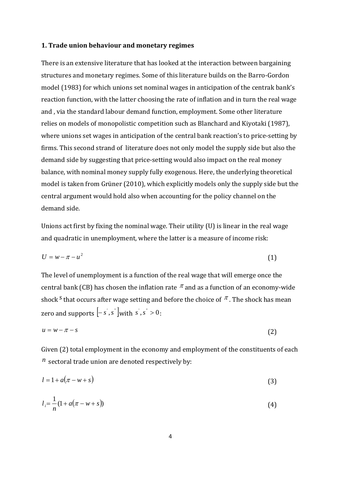### **1. Trade union behaviour and monetary regimes**

There is an extensive literature that has looked at the interaction between bargaining structures and monetary regimes. Some of this literature builds on the Barro-Gordon model (1983) for which unions set nominal wages in anticipation of the centrak bank's reaction function, with the latter choosing the rate of inflation and in turn the real wage and , via the standard labour demand function, employment. Some other literature relies on models of monopolistic competition such as Blanchard and Kiyotaki (1987), where unions set wages in anticipation of the central bank reaction's to price-setting by firms. This second strand of literature does not only model the supply side but also the demand side by suggesting that price-setting would also impact on the real money balance, with nominal money supply fully exogenous. Here, the underlying theoretical model is taken from Grüner (2010), which explicitly models only the supply side but the central argument would hold also when accounting for the policy channel on the demand side.

Unions act first by fixing the nominal wage. Their utility (U) is linear in the real wage and quadratic in unemployment, where the latter is a measure of income risk:

$$
U = w - \pi - u^2 \tag{1}
$$

The level of unemployment is a function of the real wage that will emerge once the central bank (CB) has chosen the inflation rate  $\pi$  and as a function of an economy-wide shock <sup>*s*</sup> that occurs after wage setting and before the choice of  $\pi$ . The shock has mean zero and supports  $\begin{bmatrix} -s, s \end{bmatrix}$  with  $s, s' > 0$ .

$$
u = w - \pi - s \tag{2}
$$

Given (2) total employment in the economy and employment of the constituents of each  $n<sup>n</sup>$  sectoral trade union are denoted respectively by:

$$
l = 1 + a(\pi - w + s) \tag{3}
$$

$$
l_i = \frac{1}{n}(1 + a(\pi - w + s))
$$
\n(4)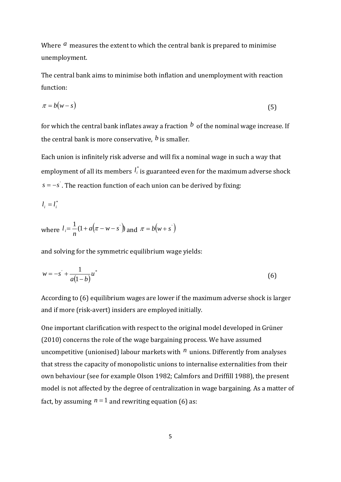Where *a* measures the extent to which the central bank is prepared to minimise unemployment.

The central bank aims to minimise both inflation and unemployment with reaction function:

$$
\pi = b(w - s) \tag{5}
$$

for which the central bank inflates away a fraction  $\dot{b}$  of the nominal wage increase. If the central bank is more conservative, *b* is smaller.

Each union is infinitely risk adverse and will fix a nominal wage in such a way that employment of all its members  $l_i^*$  is guaranteed even for the maximum adverse shock *s* = −*s*<sup>'</sup>. The reaction function of each union can be derived by fixing:

$$
l_i = l_i^*
$$

where 
$$
l_i = \frac{1}{n} (1 + a(\pi - w - s))
$$
 and  $\pi = b(w + s')$ 

and solving for the symmetric equilibrium wage yields:

$$
w = -s' + \frac{1}{a(1-b)}u^*
$$
 (6)

According to (6) equilibrium wages are lower if the maximum adverse shock is larger and if more (risk-avert) insiders are employed initially.

One important clarification with respect to the original model developed in Grüner (2010) concerns the role of the wage bargaining process. We have assumed uncompetitive (unionised) labour markets with *n* unions. Differently from analyses that stress the capacity of monopolistic unions to internalise externalities from their own behaviour (see for example Olson 1982; Calmfors and Driffill 1988), the present model is not affected by the degree of centralization in wage bargaining. As a matter of fact, by assuming  $n = 1$  and rewriting equation (6) as: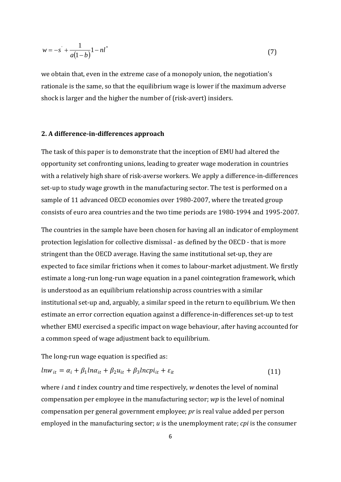$$
w = -s' + \frac{1}{a(1-b)}1 - n l^* \tag{7}
$$

we obtain that, even in the extreme case of a monopoly union, the negotiation's rationale is the same, so that the equilibrium wage is lower if the maximum adverse shock is larger and the higher the number of (risk-avert) insiders.

### **2. A difference-in-differences approach**

The task of this paper is to demonstrate that the inception of EMU had altered the opportunity set confronting unions, leading to greater wage moderation in countries with a relatively high share of risk-averse workers. We apply a difference-in-differences set-up to study wage growth in the manufacturing sector. The test is performed on a sample of 11 advanced OECD economies over 1980-2007, where the treated group consists of euro area countries and the two time periods are 1980-1994 and 1995-2007.

The countries in the sample have been chosen for having all an indicator of employment protection legislation for collective dismissal - as defined by the OECD - that is more stringent than the OECD average. Having the same institutional set-up, they are expected to face similar frictions when it comes to labour-market adjustment. We firstly estimate a long-run long-run wage equation in a panel cointegration framework, which is understood as an equilibrium relationship across countries with a similar institutional set-up and, arguably, a similar speed in the return to equilibrium. We then estimate an error correction equation against a difference-in-differences set-up to test whether EMU exercised a specific impact on wage behaviour, after having accounted for a common speed of wage adjustment back to equilibrium.

The long-run wage equation is specified as:

$$
ln w_{it} = \alpha_i + \beta_1 ln \alpha_{it} + \beta_2 u_{it} + \beta_3 ln c \pi_{it} + \varepsilon_{it}
$$
\n(11)

where *i* and *t* index country and time respectively, *w* denotes the level of nominal compensation per employee in the manufacturing sector; *wp* is the level of nominal compensation per general government employee; *pr* is real value added per person employed in the manufacturing sector; *u* is the unemployment rate; *cpi* is the consumer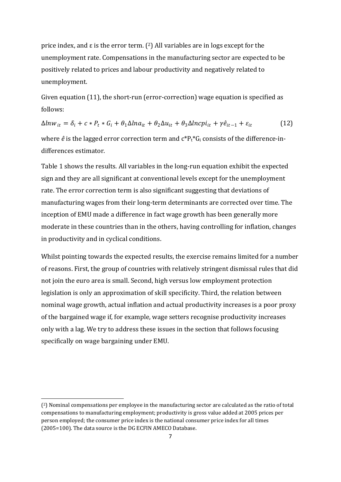price index, and  $\varepsilon$  is the error term. (2) All variables are in logs except for the unemployment rate. Compensations in the manufacturing sector are expected to be positively related to prices and labour productivity and negatively related to unemployment.

Given equation (11), the short-run (error-correction) wage equation is specified as follows:

 $\Delta l n w_{it} = \delta_i + c * P_t * G_i + \theta_1 \Delta l n a_{it} + \theta_2 \Delta u_{it} + \theta_3 \Delta l n c p i_{it} + \gamma \hat{e}_{it-1} + \varepsilon_{it}$  (12) where  $\hat{e}$  is the lagged error correction term and  $c^*P_t^*G_i$  consists of the difference-indifferences estimator.

Table 1 shows the results. All variables in the long-run equation exhibit the expected sign and they are all significant at conventional levels except for the unemployment rate. The error correction term is also significant suggesting that deviations of manufacturing wages from their long-term determinants are corrected over time. The inception of EMU made a difference in fact wage growth has been generally more moderate in these countries than in the others, having controlling for inflation, changes in productivity and in cyclical conditions.

Whilst pointing towards the expected results, the exercise remains limited for a number of reasons. First, the group of countries with relatively stringent dismissal rules that did not join the euro area is small. Second, high versus low employment protection legislation is only an approximation of skill specificity. Third, the relation between nominal wage growth, actual inflation and actual productivity increases is a poor proxy of the bargained wage if, for example, wage setters recognise productivity increases only with a lag. We try to address these issues in the section that follows focusing specifically on wage bargaining under EMU.

1

<sup>(2)</sup> Nominal compensations per employee in the manufacturing sector are calculated as the ratio of total compensations to manufacturing employment; productivity is gross value added at 2005 prices per person employed; the consumer price index is the national consumer price index for all times (2005=100). The data source is the DG ECFIN AMECO Database.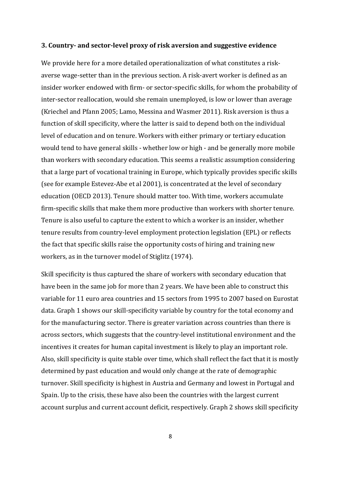#### **3. Country- and sector-level proxy of risk aversion and suggestive evidence**

We provide here for a more detailed operationalization of what constitutes a riskaverse wage-setter than in the previous section. A risk-avert worker is defined as an insider worker endowed with firm- or sector-specific skills, for whom the probability of inter-sector reallocation, would she remain unemployed, is low or lower than average (Kriechel and Pfann 2005; Lamo, Messina and Wasmer 2011). Risk aversion is thus a function of skill specificity, where the latter is said to depend both on the individual level of education and on tenure. Workers with either primary or tertiary education would tend to have general skills - whether low or high - and be generally more mobile than workers with secondary education. This seems a realistic assumption considering that a large part of vocational training in Europe, which typically provides specific skills (see for example Estevez-Abe et al 2001), is concentrated at the level of secondary education (OECD 2013). Tenure should matter too. With time, workers accumulate firm-specific skills that make them more productive than workers with shorter tenure. Tenure is also useful to capture the extent to which a worker is an insider, whether tenure results from country-level employment protection legislation (EPL) or reflects the fact that specific skills raise the opportunity costs of hiring and training new workers, as in the turnover model of Stiglitz (1974).

Skill specificity is thus captured the share of workers with secondary education that have been in the same job for more than 2 years. We have been able to construct this variable for 11 euro area countries and 15 sectors from 1995 to 2007 based on Eurostat data. Graph 1 shows our skill-specificity variable by country for the total economy and for the manufacturing sector. There is greater variation across countries than there is across sectors, which suggests that the country-level institutional environment and the incentives it creates for human capital investment is likely to play an important role. Also, skill specificity is quite stable over time, which shall reflect the fact that it is mostly determined by past education and would only change at the rate of demographic turnover. Skill specificity is highest in Austria and Germany and lowest in Portugal and Spain. Up to the crisis, these have also been the countries with the largest current account surplus and current account deficit, respectively. Graph 2 shows skill specificity

8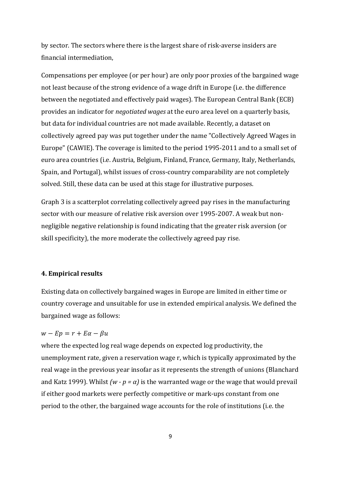by sector. The sectors where there is the largest share of risk-averse insiders are financial intermediation,

Compensations per employee (or per hour) are only poor proxies of the bargained wage not least because of the strong evidence of a wage drift in Europe (i.e. the difference between the negotiated and effectively paid wages). The European Central Bank (ECB) provides an indicator for *negotiated wages* at the euro area level on a quarterly basis, but data for individual countries are not made available. Recently, a dataset on collectively agreed pay was put together under the name "Collectively Agreed Wages in Europe" (CAWIE). The coverage is limited to the period 1995-2011 and to a small set of euro area countries (i.e. Austria, Belgium, Finland, France, Germany, Italy, Netherlands, Spain, and Portugal), whilst issues of cross-country comparability are not completely solved. Still, these data can be used at this stage for illustrative purposes.

Graph 3 is a scatterplot correlating collectively agreed pay rises in the manufacturing sector with our measure of relative risk aversion over 1995-2007. A weak but nonnegligible negative relationship is found indicating that the greater risk aversion (or skill specificity), the more moderate the collectively agreed pay rise.

## **4. Empirical results**

Existing data on collectively bargained wages in Europe are limited in either time or country coverage and unsuitable for use in extended empirical analysis. We defined the bargained wage as follows:

## $w - Ep = r + E\alpha - \beta u$

where the expected log real wage depends on expected log productivity, the unemployment rate, given a reservation wage r, which is typically approximated by the real wage in the previous year insofar as it represents the strength of unions (Blanchard and Katz 1999). Whilst  $(w - p = \alpha)$  is the warranted wage or the wage that would prevail if either good markets were perfectly competitive or mark-ups constant from one period to the other, the bargained wage accounts for the role of institutions (i.e. the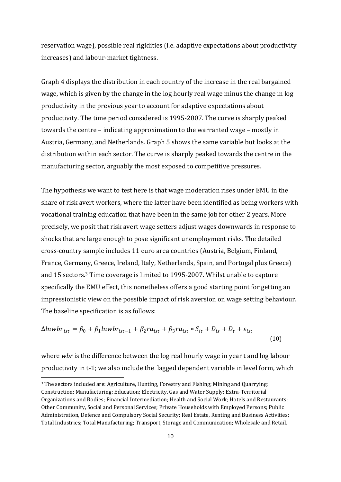reservation wage), possible real rigidities (i.e. adaptive expectations about productivity increases) and labour-market tightness.

Graph 4 displays the distribution in each country of the increase in the real bargained wage, which is given by the change in the log hourly real wage minus the change in log productivity in the previous year to account for adaptive expectations about productivity. The time period considered is 1995-2007. The curve is sharply peaked towards the centre – indicating approximation to the warranted wage – mostly in Austria, Germany, and Netherlands. Graph 5 shows the same variable but looks at the distribution within each sector. The curve is sharply peaked towards the centre in the manufacturing sector, arguably the most exposed to competitive pressures.

The hypothesis we want to test here is that wage moderation rises under EMU in the share of risk avert workers, where the latter have been identified as being workers with vocational training education that have been in the same job for other 2 years. More precisely, we posit that risk avert wage setters adjust wages downwards in response to shocks that are large enough to pose significant unemployment risks. The detailed cross-country sample includes 11 euro area countries (Austria, Belgium, Finland, France, Germany, Greece, Ireland, Italy, Netherlands, Spain, and Portugal plus Greece) and 15 sectors.3 Time coverage is limited to 1995-2007. Whilst unable to capture specifically the EMU effect, this nonetheless offers a good starting point for getting an impressionistic view on the possible impact of risk aversion on wage setting behaviour. The baseline specification is as follows:

$$
\Delta ln wbr_{ist} = \beta_0 + \beta_1 l n wbr_{ist-1} + \beta_2 r a_{ist} + \beta_3 r a_{ist} * S_{it} + D_{is} + D_t + \varepsilon_{ist}
$$
\n(10)

where *wbr* is the difference between the log real hourly wage in year t and log labour productivity in t-1; we also include the lagged dependent variable in level form, which

**.** 

<sup>3</sup> The sectors included are: Agriculture, Hunting, Forestry and Fishing; Mining and Quarrying; Construction; Manufacturing; Education; Electricity, Gas and Water Supply; Extra-Territorial Organizations and Bodies; Financial Intermediation; Health and Social Work; Hotels and Restaurants; Other Community, Social and Personal Services; Private Households with Employed Persons; Public Administration, Defence and Compulsory Social Security; Real Estate, Renting and Business Activities; Total Industries; Total Manufacturing; Transport, Storage and Communication; Wholesale and Retail.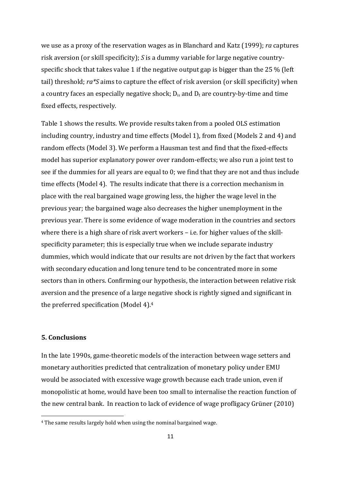we use as a proxy of the reservation wages as in Blanchard and Katz (1999); *ra* captures risk aversion (or skill specificity); *S* is a dummy variable for large negative countryspecific shock that takes value 1 if the negative output gap is bigger than the 25 % (left tail) threshold; *ra\*S* aims to capture the effect of risk aversion (or skill specificity) when a country faces an especially negative shock;  $D_{is}$  and  $D_t$  are country-by-time and time fixed effects, respectively.

Table 1 shows the results. We provide results taken from a pooled OLS estimation including country, industry and time effects (Model 1), from fixed (Models 2 and 4) and random effects (Model 3). We perform a Hausman test and find that the fixed-effects model has superior explanatory power over random-effects; we also run a joint test to see if the dummies for all years are equal to 0; we find that they are not and thus include time effects (Model 4). The results indicate that there is a correction mechanism in place with the real bargained wage growing less, the higher the wage level in the previous year; the bargained wage also decreases the higher unemployment in the previous year. There is some evidence of wage moderation in the countries and sectors where there is a high share of risk avert workers – i.e. for higher values of the skillspecificity parameter; this is especially true when we include separate industry dummies, which would indicate that our results are not driven by the fact that workers with secondary education and long tenure tend to be concentrated more in some sectors than in others. Confirming our hypothesis, the interaction between relative risk aversion and the presence of a large negative shock is rightly signed and significant in the preferred specification (Model 4).4

## **5. Conclusions**

1

In the late 1990s, game-theoretic models of the interaction between wage setters and monetary authorities predicted that centralization of monetary policy under EMU would be associated with excessive wage growth because each trade union, even if monopolistic at home, would have been too small to internalise the reaction function of the new central bank. In reaction to lack of evidence of wage profligacy Grüner (2010)

<sup>4</sup> The same results largely hold when using the nominal bargained wage.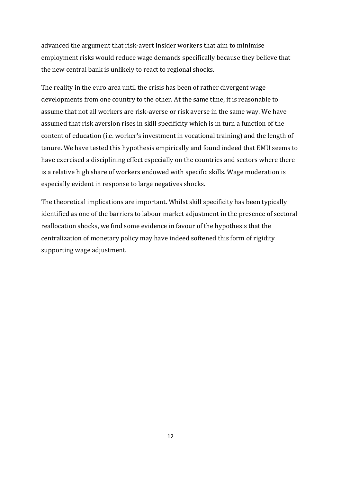advanced the argument that risk-avert insider workers that aim to minimise employment risks would reduce wage demands specifically because they believe that the new central bank is unlikely to react to regional shocks.

The reality in the euro area until the crisis has been of rather divergent wage developments from one country to the other. At the same time, it is reasonable to assume that not all workers are risk-averse or risk averse in the same way. We have assumed that risk aversion rises in skill specificity which is in turn a function of the content of education (i.e. worker's investment in vocational training) and the length of tenure. We have tested this hypothesis empirically and found indeed that EMU seems to have exercised a disciplining effect especially on the countries and sectors where there is a relative high share of workers endowed with specific skills. Wage moderation is especially evident in response to large negatives shocks.

The theoretical implications are important. Whilst skill specificity has been typically identified as one of the barriers to labour market adjustment in the presence of sectoral reallocation shocks, we find some evidence in favour of the hypothesis that the centralization of monetary policy may have indeed softened this form of rigidity supporting wage adjustment.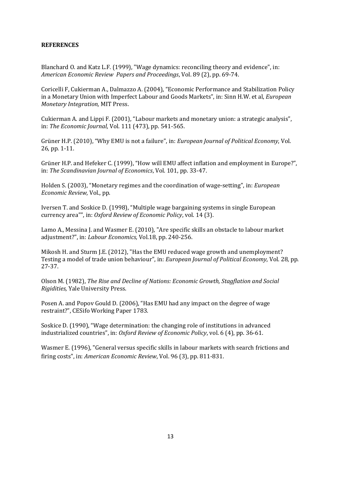### **REFERENCES**

Blanchard O. and Katz L.F. (1999), "Wage dynamics: reconciling theory and evidence", in: *American Economic Review Papers and Proceedings*, Vol. 89 (2), pp. 69-74.

Coricelli F, Cukierman A., Dalmazzo A. (2004), "Economic Performance and Stabilization Policy in a Monetary Union with Imperfect Labour and Goods Markets", in: Sinn H.W. et al, *European Monetary Integration,* MIT Press.

Cukierman A. and Lippi F. (2001), "Labour markets and monetary union: a strategic analysis", in: *The Economic Journal*, Vol. 111 (473), pp. 541-565.

Grüner H.P. (2010), "Why EMU is not a failure", in: *European Journal of Political Economy*, Vol. 26, pp. 1-11.

Grüner H.P. and Hefeker C. (1999), "How will EMU affect inflation and employment in Europe?", in: *The Scandinavian Journal of Economics*, Vol. 101, pp. 33-47.

Holden S. (2003), "Monetary regimes and the coordination of wage-setting", in: *European Economic Review*, Vol., pp.

Iversen T. and Soskice D. (1998), "Multiple wage bargaining systems in single European currency area"", in: *Oxford Review of Economic Policy*, vol. 14 (3).

Lamo A., Messina J. and Wasmer E. (2010), "Are specific skills an obstacle to labour market adjustment?", in: *Labour Economics,* Vol.18, pp. 240-256.

Mikosh H. and Sturm J.E. (2012), "Has the EMU reduced wage growth and unemployment? Testing a model of trade union behaviour", in: *European Journal of Political Economy*, Vol. 28, pp. 27-37.

Olson M. (1982), *The Rise and Decline of Nations: Economic Growth, Stagflation and Social Rigidities,* Yale University Press.

Posen A. and Popov Gould D. (2006), "Has EMU had any impact on the degree of wage restraint?", CESifo Working Paper 1783.

Soskice D. (1990), "Wage determination: the changing role of institutions in advanced industrialized countries", in: *Oxford Review of Economic Policy*, vol. 6 (4), pp. 36-61.

Wasmer E. (1996), "General versus specific skills in labour markets with search frictions and firing costs", in: *American Economic Review*, Vol. 96 (3), pp. 811-831.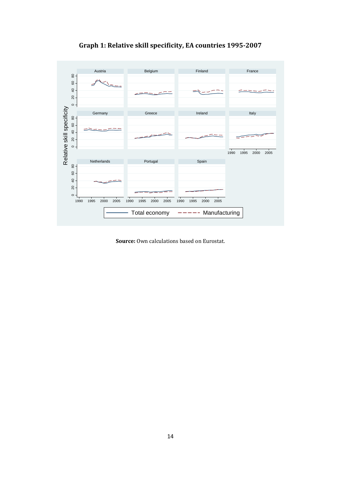

**Graph 1: Relative skill specificity, EA countries 1995-2007** 

**Source:** Own calculations based on Eurostat.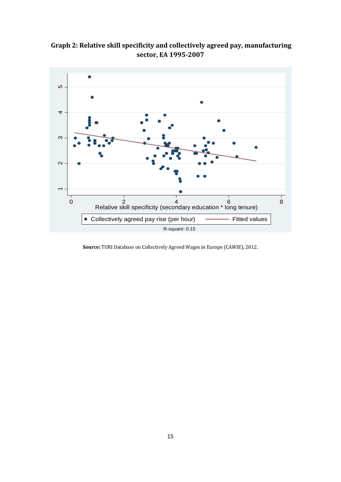**Graph 2: Relative skill specificity and collectively agreed pay, manufacturing sector, EA 1995-2007** 



**Source:** TURI Database on Collectively Agreed Wages in Europe (CAWIE), 2012.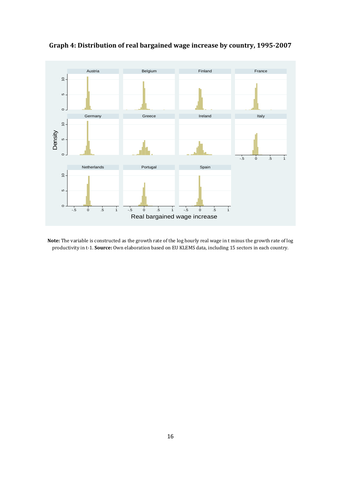

**Graph 4: Distribution of real bargained wage increase by country, 1995-2007** 

**Note:** The variable is constructed as the growth rate of the log hourly real wage in t minus the growth rate of log productivity in t-1. **Source:** Own elaboration based on EU KLEMS data, including 15 sectors in each country.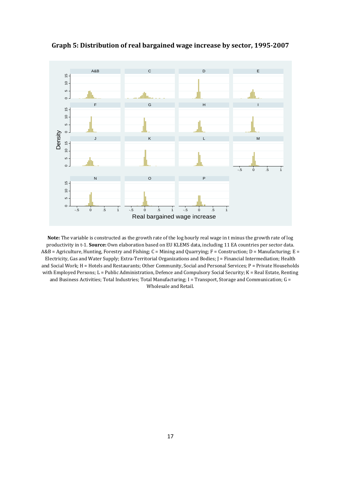

**Graph 5: Distribution of real bargained wage increase by sector, 1995-2007**

**Note:** The variable is constructed as the growth rate of the log hourly real wage in t minus the growth rate of log productivity in t-1. **Source:** Own elaboration based on EU KLEMS data, including 11 EA countries per sector data. A&B = Agriculture, Hunting, Forestry and Fishing; C = Mining and Quarrying; F = Construction; D = Manufacturing; E = Electricity, Gas and Water Supply; Extra-Territorial Organizations and Bodies; J = Financial Intermediation; Health and Social Work; H = Hotels and Restaurants; Other Community, Social and Personal Services; P = Private Households with Employed Persons; L = Public Administration, Defence and Compulsory Social Security; K = Real Estate, Renting and Business Activities; Total Industries; Total Manufacturing;  $I = T$ ransport, Storage and Communication;  $G = T$ Wholesale and Retail.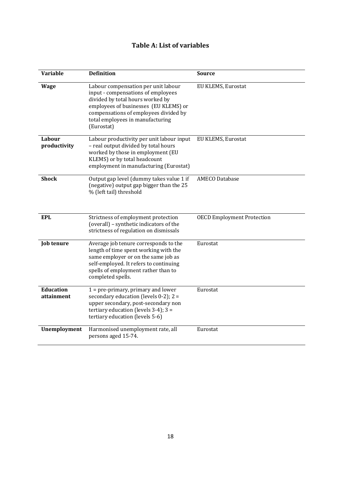# **Table A: List of variables**

| <b>Variable</b>                | <b>Definition</b>                                                                                                                                                                                                                                 | <b>Source</b>                     |
|--------------------------------|---------------------------------------------------------------------------------------------------------------------------------------------------------------------------------------------------------------------------------------------------|-----------------------------------|
| <b>Wage</b>                    | Labour compensation per unit labour<br>input - compensations of employees<br>divided by total hours worked by<br>employees of businesses (EU KLEMS) or<br>compensations of employees divided by<br>total employees in manufacturing<br>(Eurostat) | EU KLEMS, Eurostat                |
| Labour<br>productivity         | Labour productivity per unit labour input<br>- real output divided by total hours<br>worked by those in employment (EU<br>KLEMS) or by total headcount<br>employment in manufacturing (Eurostat)                                                  | EU KLEMS, Eurostat                |
| <b>Shock</b>                   | Output gap level (dummy takes value 1 if<br>(negative) output gap bigger than the 25<br>% (left tail) threshold                                                                                                                                   | <b>AMECO Database</b>             |
| <b>EPL</b>                     | Strictness of employment protection<br>(overall) - synthetic indicators of the<br>strictness of regulation on dismissals                                                                                                                          | <b>OECD Employment Protection</b> |
| <b>Job tenure</b>              | Average job tenure corresponds to the<br>length of time spent working with the<br>same employer or on the same job as<br>self-employed. It refers to continuing<br>spells of employment rather than to<br>completed spells.                       | Eurostat                          |
| <b>Education</b><br>attainment | $1 = pre-primary$ , primary and lower<br>secondary education (levels $0-2$ ); $2 =$<br>upper secondary, post-secondary non<br>tertiary education (levels $3-4$ ); $3 =$<br>tertiary education (levels 5-6)                                        | Eurostat                          |
| Unemployment                   | Harmonised unemployment rate, all<br>persons aged 15-74.                                                                                                                                                                                          | Eurostat                          |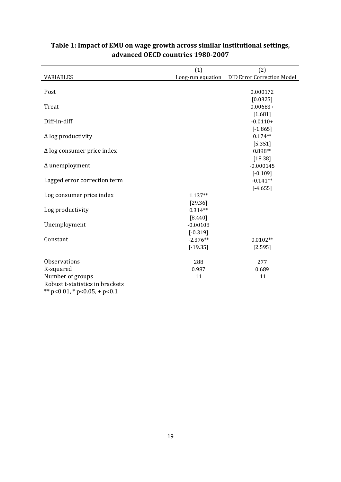|                                   | (1)                  | (2)                               |  |  |  |
|-----------------------------------|----------------------|-----------------------------------|--|--|--|
| <b>VARIABLES</b>                  | Long-run equation    | <b>DID Error Correction Model</b> |  |  |  |
|                                   |                      |                                   |  |  |  |
| Post                              |                      | 0.000172                          |  |  |  |
|                                   |                      | [0.0325]                          |  |  |  |
| Treat                             |                      | $0.00683+$                        |  |  |  |
|                                   |                      | [1.681]                           |  |  |  |
| Diff-in-diff                      |                      | $-0.0110+$                        |  |  |  |
|                                   |                      | $[-1.865]$                        |  |  |  |
| $\Delta$ log productivity         |                      | $0.174**$                         |  |  |  |
|                                   |                      | [5.351]                           |  |  |  |
| $\Delta$ log consumer price index |                      | 0.898**                           |  |  |  |
|                                   |                      | [18.38]                           |  |  |  |
| $\Delta$ unemployment             |                      | $-0.000145$                       |  |  |  |
|                                   |                      | $[-0.109]$                        |  |  |  |
| Lagged error correction term      |                      | $-0.141**$                        |  |  |  |
|                                   |                      | $[-4.655]$                        |  |  |  |
| Log consumer price index          | 1.137**              |                                   |  |  |  |
|                                   | [29.36]<br>$0.314**$ |                                   |  |  |  |
| Log productivity                  | [8.440]              |                                   |  |  |  |
| Unemployment                      | $-0.00108$           |                                   |  |  |  |
|                                   | $[-0.319]$           |                                   |  |  |  |
| Constant                          | $-2.376**$           | $0.0102**$                        |  |  |  |
|                                   | $[-19.35]$           | [2.595]                           |  |  |  |
|                                   |                      |                                   |  |  |  |
| Observations                      | 288                  | 277                               |  |  |  |
| R-squared                         | 0.987                | 0.689                             |  |  |  |
| Number of groups                  | 11                   | 11                                |  |  |  |
| Robust t-statistics in brackets   |                      |                                   |  |  |  |

## **Table 1: Impact of EMU on wage growth across similar institutional settings, advanced OECD countries 1980-2007**

\*\* p<0.01, \* p<0.05, + p<0.1